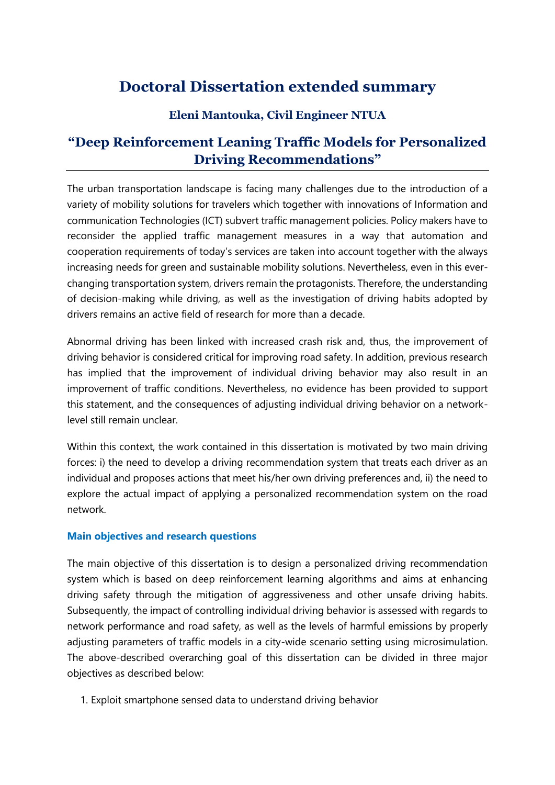# **Doctoral Dissertation extended summary**

## **Eleni Mantouka, Civil Engineer NTUA**

## **"Deep Reinforcement Leaning Traffic Models for Personalized Driving Recommendations"**

The urban transportation landscape is facing many challenges due to the introduction of a variety of mobility solutions for travelers which together with innovations of Information and communication Technologies (ICT) subvert traffic management policies. Policy makers have to reconsider the applied traffic management measures in a way that automation and cooperation requirements of today's services are taken into account together with the always increasing needs for green and sustainable mobility solutions. Nevertheless, even in this everchanging transportation system, drivers remain the protagonists. Therefore, the understanding of decision-making while driving, as well as the investigation of driving habits adopted by drivers remains an active field of research for more than a decade.

Abnormal driving has been linked with increased crash risk and, thus, the improvement of driving behavior is considered critical for improving road safety. In addition, previous research has implied that the improvement of individual driving behavior may also result in an improvement of traffic conditions. Nevertheless, no evidence has been provided to support this statement, and the consequences of adjusting individual driving behavior on a networklevel still remain unclear.

Within this context, the work contained in this dissertation is motivated by two main driving forces: i) the need to develop a driving recommendation system that treats each driver as an individual and proposes actions that meet his/her own driving preferences and, ii) the need to explore the actual impact of applying a personalized recommendation system on the road network.

## **Main objectives and research questions**

The main objective of this dissertation is to design a personalized driving recommendation system which is based on deep reinforcement learning algorithms and aims at enhancing driving safety through the mitigation of aggressiveness and other unsafe driving habits. Subsequently, the impact of controlling individual driving behavior is assessed with regards to network performance and road safety, as well as the levels of harmful emissions by properly adjusting parameters of traffic models in a city-wide scenario setting using microsimulation. The above-described overarching goal of this dissertation can be divided in three major objectives as described below:

1. Exploit smartphone sensed data to understand driving behavior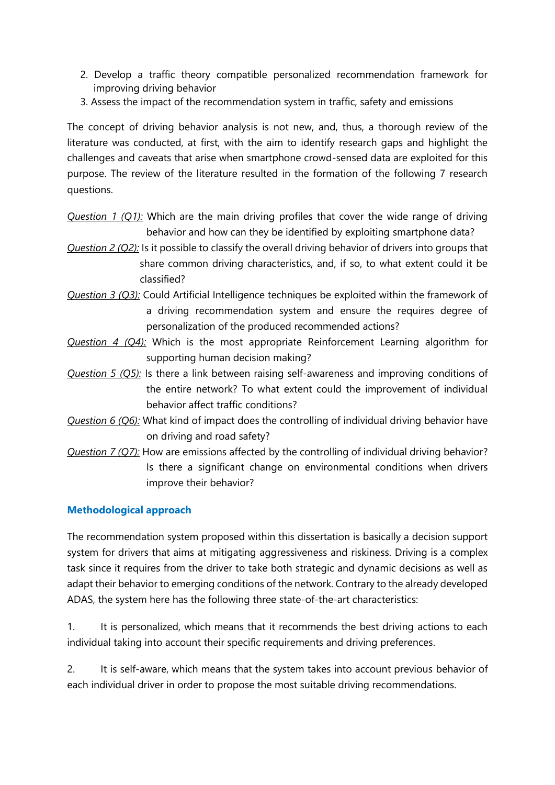- 2. Develop a traffic theory compatible personalized recommendation framework for improving driving behavior
- 3. Assess the impact of the recommendation system in traffic, safety and emissions

The concept of driving behavior analysis is not new, and, thus, a thorough review of the literature was conducted, at first, with the aim to identify research gaps and highlight the challenges and caveats that arise when smartphone crowd-sensed data are exploited for this purpose. The review of the literature resulted in the formation of the following 7 research questions.

*Question 1 (Q1):* Which are the main driving profiles that cover the wide range of driving behavior and how can they be identified by exploiting smartphone data?

- *Question 2 (Q2):* Is it possible to classify the overall driving behavior of drivers into groups that share common driving characteristics, and, if so, to what extent could it be classified?
- *Question 3 (Q3):* Could Artificial Intelligence techniques be exploited within the framework of a driving recommendation system and ensure the requires degree of personalization of the produced recommended actions?
- *Question 4 (Q4):* Which is the most appropriate Reinforcement Learning algorithm for supporting human decision making?
- *Question 5 (Q5):* Is there a link between raising self-awareness and improving conditions of the entire network? To what extent could the improvement of individual behavior affect traffic conditions?
- *Question 6 (Q6):* What kind of impact does the controlling of individual driving behavior have on driving and road safety?
- *Question 7 (Q7):* How are emissions affected by the controlling of individual driving behavior? Is there a significant change on environmental conditions when drivers improve their behavior?

## **Methodological approach**

The recommendation system proposed within this dissertation is basically a decision support system for drivers that aims at mitigating aggressiveness and riskiness. Driving is a complex task since it requires from the driver to take both strategic and dynamic decisions as well as adapt their behavior to emerging conditions of the network. Contrary to the already developed ADAS, the system here has the following three state-of-the-art characteristics:

1. It is personalized, which means that it recommends the best driving actions to each individual taking into account their specific requirements and driving preferences.

2. It is self-aware, which means that the system takes into account previous behavior of each individual driver in order to propose the most suitable driving recommendations.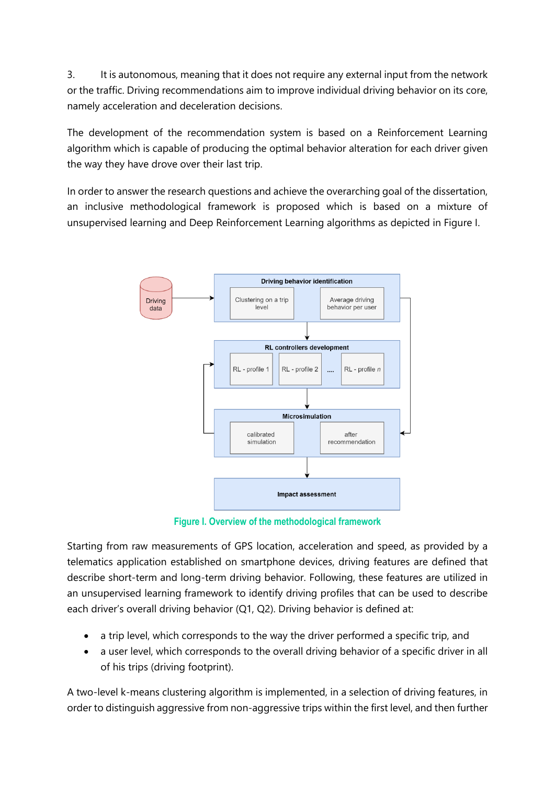3. It is autonomous, meaning that it does not require any external input from the network or the traffic. Driving recommendations aim to improve individual driving behavior on its core, namely acceleration and deceleration decisions.

The development of the recommendation system is based on a Reinforcement Learning algorithm which is capable of producing the optimal behavior alteration for each driver given the way they have drove over their last trip.

In order to answer the research questions and achieve the overarching goal of the dissertation, an inclusive methodological framework is proposed which is based on a mixture of unsupervised learning and Deep Reinforcement Learning algorithms as depicted in Figure I.



**Figure I. Overview of the methodological framework**

Starting from raw measurements of GPS location, acceleration and speed, as provided by a telematics application established on smartphone devices, driving features are defined that describe short-term and long-term driving behavior. Following, these features are utilized in an unsupervised learning framework to identify driving profiles that can be used to describe each driver's overall driving behavior (Q1, Q2). Driving behavior is defined at:

- a trip level, which corresponds to the way the driver performed a specific trip, and
- a user level, which corresponds to the overall driving behavior of a specific driver in all of his trips (driving footprint).

A two-level k-means clustering algorithm is implemented, in a selection of driving features, in order to distinguish aggressive from non-aggressive trips within the first level, and then further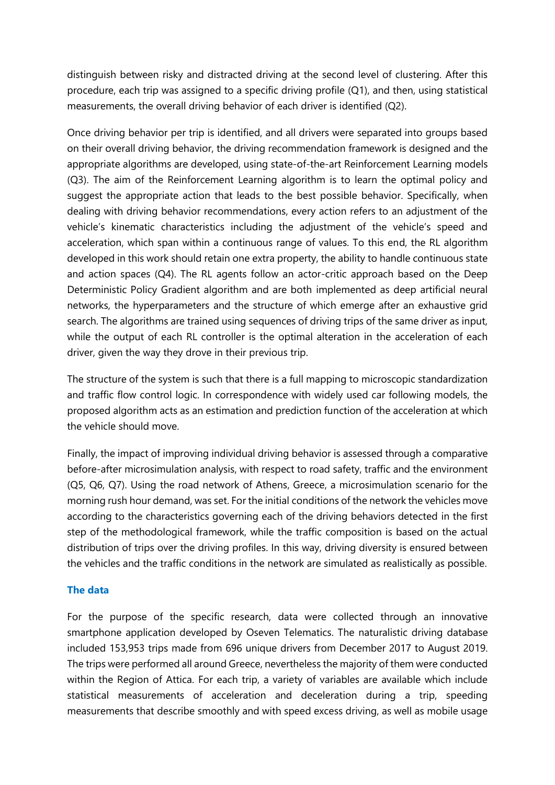distinguish between risky and distracted driving at the second level of clustering. After this procedure, each trip was assigned to a specific driving profile (Q1), and then, using statistical measurements, the overall driving behavior of each driver is identified (Q2).

Once driving behavior per trip is identified, and all drivers were separated into groups based on their overall driving behavior, the driving recommendation framework is designed and the appropriate algorithms are developed, using state-of-the-art Reinforcement Learning models (Q3). The aim of the Reinforcement Learning algorithm is to learn the optimal policy and suggest the appropriate action that leads to the best possible behavior. Specifically, when dealing with driving behavior recommendations, every action refers to an adjustment of the vehicle's kinematic characteristics including the adjustment of the vehicle's speed and acceleration, which span within a continuous range of values. To this end, the RL algorithm developed in this work should retain one extra property, the ability to handle continuous state and action spaces (Q4). The RL agents follow an actor-critic approach based on the Deep Deterministic Policy Gradient algorithm and are both implemented as deep artificial neural networks, the hyperparameters and the structure of which emerge after an exhaustive grid search. The algorithms are trained using sequences of driving trips of the same driver as input, while the output of each RL controller is the optimal alteration in the acceleration of each driver, given the way they drove in their previous trip.

The structure of the system is such that there is a full mapping to microscopic standardization and traffic flow control logic. In correspondence with widely used car following models, the proposed algorithm acts as an estimation and prediction function of the acceleration at which the vehicle should move.

Finally, the impact of improving individual driving behavior is assessed through a comparative before-after microsimulation analysis, with respect to road safety, traffic and the environment (Q5, Q6, Q7). Using the road network of Athens, Greece, a microsimulation scenario for the morning rush hour demand, was set. For the initial conditions of the network the vehicles move according to the characteristics governing each of the driving behaviors detected in the first step of the methodological framework, while the traffic composition is based on the actual distribution of trips over the driving profiles. In this way, driving diversity is ensured between the vehicles and the traffic conditions in the network are simulated as realistically as possible.

#### **The data**

For the purpose of the specific research, data were collected through an innovative smartphone application developed by Oseven Telematics. The naturalistic driving database included 153,953 trips made from 696 unique drivers from December 2017 to August 2019. The trips were performed all around Greece, nevertheless the majority of them were conducted within the Region of Attica. For each trip, a variety of variables are available which include statistical measurements of acceleration and deceleration during a trip, speeding measurements that describe smoothly and with speed excess driving, as well as mobile usage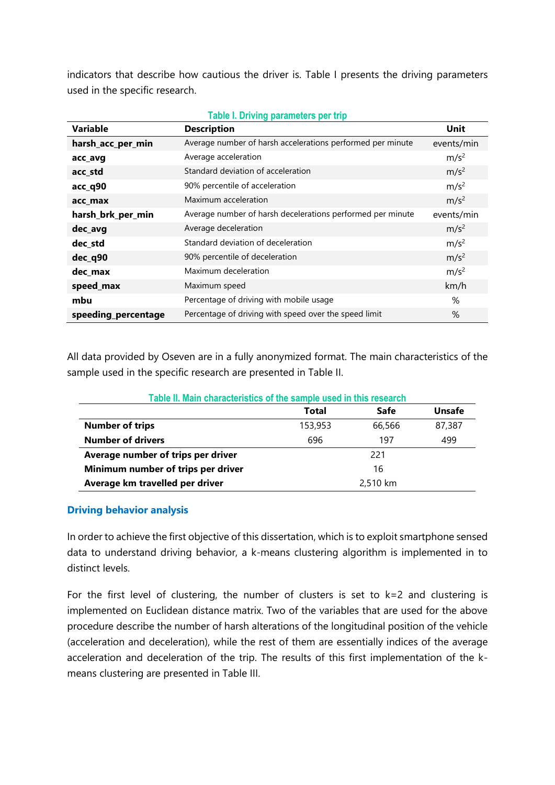indicators that describe how cautious the driver is. Table I presents the driving parameters used in the specific research.

| <b>Variable</b>     | <b>Description</b>                                         | <b>Unit</b>      |
|---------------------|------------------------------------------------------------|------------------|
| harsh_acc_per_min   | Average number of harsh accelerations performed per minute | events/min       |
| acc_avg             | Average acceleration                                       | m/s <sup>2</sup> |
| acc_std             | Standard deviation of acceleration                         | m/s <sup>2</sup> |
| acc_q90             | 90% percentile of acceleration                             | m/s <sup>2</sup> |
| acc max             | Maximum acceleration                                       | m/s <sup>2</sup> |
| harsh_brk_per_min   | Average number of harsh decelerations performed per minute | events/min       |
| dec_avg             | Average deceleration                                       | m/s <sup>2</sup> |
| dec_std             | Standard deviation of deceleration                         | m/s <sup>2</sup> |
| dec_q90             | 90% percentile of deceleration                             | m/s <sup>2</sup> |
| dec_max             | Maximum deceleration                                       | m/s <sup>2</sup> |
| speed_max           | Maximum speed                                              | km/h             |
| mbu                 | Percentage of driving with mobile usage                    | %                |
| speeding_percentage | Percentage of driving with speed over the speed limit      | $\%$             |

All data provided by Oseven are in a fully anonymized format. The main characteristics of the sample used in the specific research are presented in Table II.

| Table II. Main characteristics of the sample used in this research |          |             |               |  |  |  |  |  |
|--------------------------------------------------------------------|----------|-------------|---------------|--|--|--|--|--|
|                                                                    | Total    | <b>Safe</b> | <b>Unsafe</b> |  |  |  |  |  |
| <b>Number of trips</b>                                             | 153,953  | 66,566      | 87,387        |  |  |  |  |  |
| <b>Number of drivers</b>                                           | 696      | 197         | 499           |  |  |  |  |  |
| Average number of trips per driver                                 |          | 221         |               |  |  |  |  |  |
| Minimum number of trips per driver                                 | 16       |             |               |  |  |  |  |  |
| Average km travelled per driver                                    | 2,510 km |             |               |  |  |  |  |  |

## **Driving behavior analysis**

In order to achieve the first objective of this dissertation, which is to exploit smartphone sensed data to understand driving behavior, a k-means clustering algorithm is implemented in to distinct levels.

For the first level of clustering, the number of clusters is set to  $k=2$  and clustering is implemented on Euclidean distance matrix. Two of the variables that are used for the above procedure describe the number of harsh alterations of the longitudinal position of the vehicle (acceleration and deceleration), while the rest of them are essentially indices of the average acceleration and deceleration of the trip. The results of this first implementation of the kmeans clustering are presented in Table III.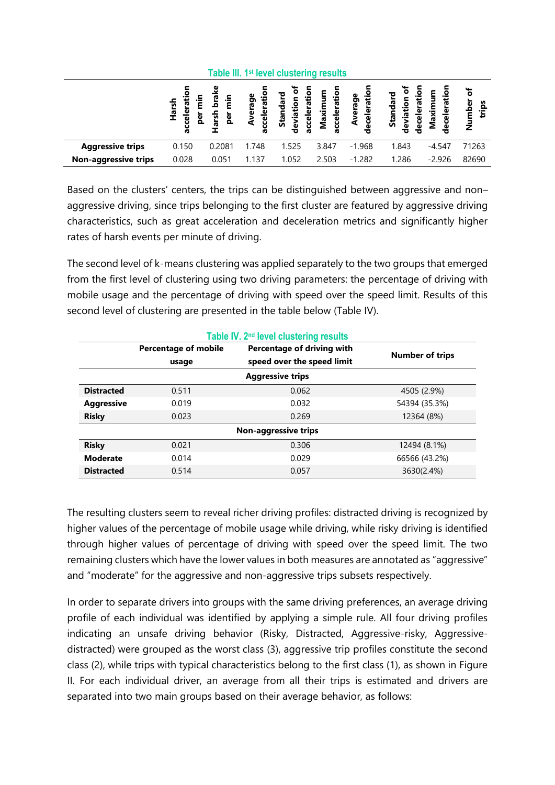| Table III. 1 <sup>st</sup> level clustering results |                                                     |                                          |                                 |                                                   |                            |                                    |                                           |                                       |                          |
|-----------------------------------------------------|-----------------------------------------------------|------------------------------------------|---------------------------------|---------------------------------------------------|----------------------------|------------------------------------|-------------------------------------------|---------------------------------------|--------------------------|
|                                                     | È<br>larsl<br>elera<br>►<br><u>g</u><br>ū<br>u<br>Ō | ೪<br>le.<br>D<br>ءِ.<br>آ<br>arsh<br>per | cceleratio<br>rerage<br>å<br>Ō. | $\circ$<br>Standard<br>accelerati<br>ã<br>deviati | acceleration<br>Ê<br>Maxim | celeratio<br>erage<br>दे<br>Φ<br>ರ | ation<br>Standard<br>deviation<br>deceler | Maximum<br>ation<br>흐<br>මි<br>Φ<br>Ō | ৳<br>umber<br>trips<br>z |
| <b>Aggressive trips</b>                             | 0.150                                               | 0.2081                                   | 1.748                           | 1.525                                             | 3.847                      | $-1.968$                           | 1.843                                     | $-4.547$                              | 71263                    |
| <b>Non-aggressive trips</b>                         | 0.028                                               | 0.051                                    | 1.137                           | 1.052                                             | 2.503                      | $-1.282$                           | 1.286                                     | $-2.926$                              | 82690                    |

Based on the clusters' centers, the trips can be distinguished between aggressive and non– aggressive driving, since trips belonging to the first cluster are featured by aggressive driving characteristics, such as great acceleration and deceleration metrics and significantly higher rates of harsh events per minute of driving.

The second level of k-means clustering was applied separately to the two groups that emerged from the first level of clustering using two driving parameters: the percentage of driving with mobile usage and the percentage of driving with speed over the speed limit. Results of this second level of clustering are presented in the table below (Table IV).

|                         |                                      | Table IV. 2 <sup>nd</sup> level clustering results       |                        |  |  |  |  |
|-------------------------|--------------------------------------|----------------------------------------------------------|------------------------|--|--|--|--|
|                         | <b>Percentage of mobile</b><br>usage | Percentage of driving with<br>speed over the speed limit | <b>Number of trips</b> |  |  |  |  |
| <b>Aggressive trips</b> |                                      |                                                          |                        |  |  |  |  |
| <b>Distracted</b>       | 0.511                                | 0.062                                                    | 4505 (2.9%)            |  |  |  |  |
| <b>Aggressive</b>       | 0.019                                | 0.032                                                    | 54394 (35.3%)          |  |  |  |  |
| <b>Risky</b>            | 0.023                                | 0.269                                                    | 12364 (8%)             |  |  |  |  |
|                         |                                      | <b>Non-aggressive trips</b>                              |                        |  |  |  |  |
| <b>Risky</b>            | 0.021                                | 0.306                                                    | 12494 (8.1%)           |  |  |  |  |
| <b>Moderate</b>         | 0.014                                | 0.029                                                    | 66566 (43.2%)          |  |  |  |  |
| <b>Distracted</b>       | 0.514                                | 0.057                                                    | 3630(2.4%)             |  |  |  |  |

The resulting clusters seem to reveal richer driving profiles: distracted driving is recognized by higher values of the percentage of mobile usage while driving, while risky driving is identified through higher values of percentage of driving with speed over the speed limit. The two remaining clusters which have the lower values in both measures are annotated as "aggressive" and "moderate" for the aggressive and non-aggressive trips subsets respectively.

In order to separate drivers into groups with the same driving preferences, an average driving profile of each individual was identified by applying a simple rule. All four driving profiles indicating an unsafe driving behavior (Risky, Distracted, Aggressive-risky, Aggressivedistracted) were grouped as the worst class (3), aggressive trip profiles constitute the second class (2), while trips with typical characteristics belong to the first class (1), as shown in Figure II. For each individual driver, an average from all their trips is estimated and drivers are separated into two main groups based on their average behavior, as follows: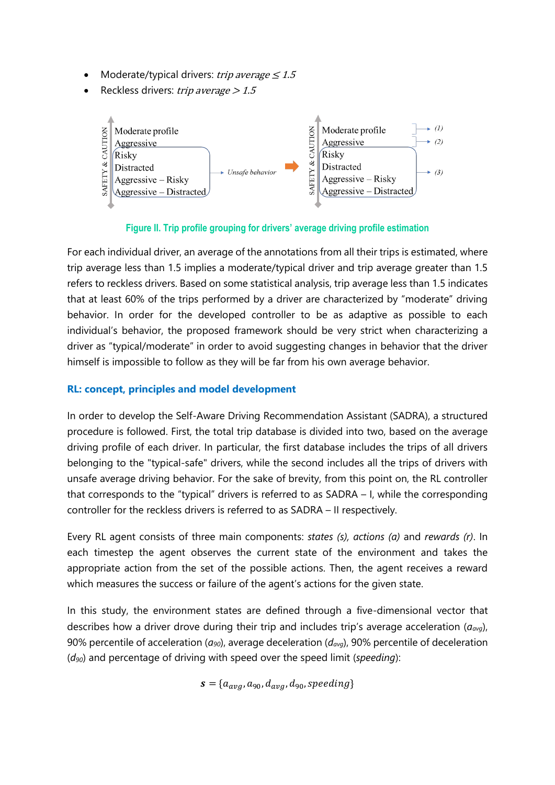- Moderate/typical drivers: trip average  $\leq 1.5$
- Reckless drivers: trip average  $> 1.5$



## **Figure II. Trip profile grouping for drivers' average driving profile estimation**

For each individual driver, an average of the annotations from all their trips is estimated, where trip average less than 1.5 implies a moderate/typical driver and trip average greater than 1.5 refers to reckless drivers. Based on some statistical analysis, trip average less than 1.5 indicates that at least 60% of the trips performed by a driver are characterized by "moderate" driving behavior. In order for the developed controller to be as adaptive as possible to each individual's behavior, the proposed framework should be very strict when characterizing a driver as "typical/moderate" in order to avoid suggesting changes in behavior that the driver himself is impossible to follow as they will be far from his own average behavior.

## **RL: concept, principles and model development**

In order to develop the Self-Aware Driving Recommendation Assistant (SADRA), a structured procedure is followed. First, the total trip database is divided into two, based on the average driving profile of each driver. In particular, the first database includes the trips of all drivers belonging to the "typical-safe" drivers, while the second includes all the trips of drivers with unsafe average driving behavior. For the sake of brevity, from this point on, the RL controller that corresponds to the "typical" drivers is referred to as SADRA – I, while the corresponding controller for the reckless drivers is referred to as SADRA – II respectively.

Every RL agent consists of three main components: *states (s), actions (a)* and *rewards (r)*. In each timestep the agent observes the current state of the environment and takes the appropriate action from the set of the possible actions. Then, the agent receives a reward which measures the success or failure of the agent's actions for the given state.

In this study, the environment states are defined through a five-dimensional vector that describes how a driver drove during their trip and includes trip's average acceleration (*aavg*), 90% percentile of acceleration (*a90*), average deceleration (*davg*), 90% percentile of deceleration (*d90*) and percentage of driving with speed over the speed limit (*speeding*):

$$
\mathbf{s} = \{a_{avg}, a_{90}, d_{avg}, d_{90}, speeding\}
$$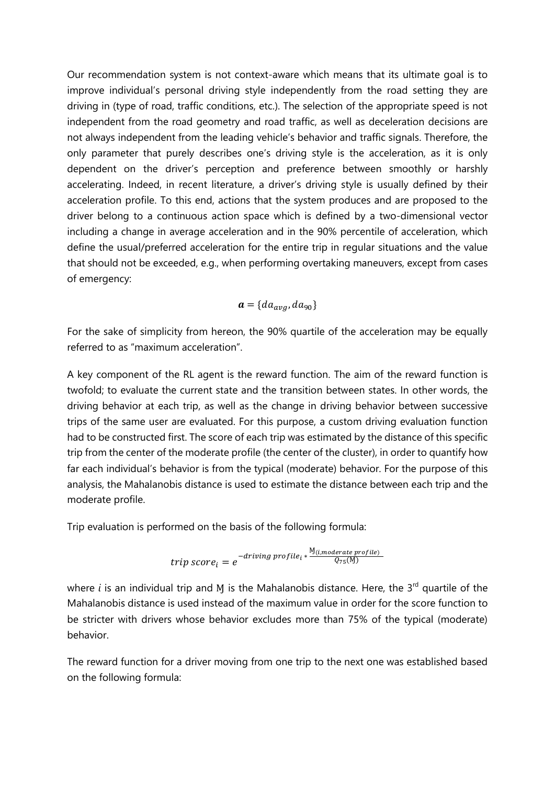Our recommendation system is not context-aware which means that its ultimate goal is to improve individual's personal driving style independently from the road setting they are driving in (type of road, traffic conditions, etc.). The selection of the appropriate speed is not independent from the road geometry and road traffic, as well as deceleration decisions are not always independent from the leading vehicle's behavior and traffic signals. Therefore, the only parameter that purely describes one's driving style is the acceleration, as it is only dependent on the driver's perception and preference between smoothly or harshly accelerating. Indeed, in recent literature, a driver's driving style is usually defined by their acceleration profile. To this end, actions that the system produces and are proposed to the driver belong to a continuous action space which is defined by a two-dimensional vector including a change in average acceleration and in the 90% percentile of acceleration, which define the usual/preferred acceleration for the entire trip in regular situations and the value that should not be exceeded, e.g., when performing overtaking maneuvers, except from cases of emergency:

$$
\boldsymbol{a} = \{ da_{avg}, da_{90} \}
$$

For the sake of simplicity from hereon, the 90% quartile of the acceleration may be equally referred to as "maximum acceleration".

A key component of the RL agent is the reward function. The aim of the reward function is twofold; to evaluate the current state and the transition between states. In other words, the driving behavior at each trip, as well as the change in driving behavior between successive trips of the same user are evaluated. For this purpose, a custom driving evaluation function had to be constructed first. The score of each trip was estimated by the distance of this specific trip from the center of the moderate profile (the center of the cluster), in order to quantify how far each individual's behavior is from the typical (moderate) behavior. For the purpose of this analysis, the Mahalanobis distance is used to estimate the distance between each trip and the moderate profile.

Trip evaluation is performed on the basis of the following formula:

$$
trip score_i = e^{-driving\,profile_i * \frac{N(i, moderate\,profile)}{Q_{75}(M)}}
$$

where  $i$  is an individual trip and  $M$  is the Mahalanobis distance. Here, the 3<sup>rd</sup> quartile of the Mahalanobis distance is used instead of the maximum value in order for the score function to be stricter with drivers whose behavior excludes more than 75% of the typical (moderate) behavior.

The reward function for a driver moving from one trip to the next one was established based on the following formula: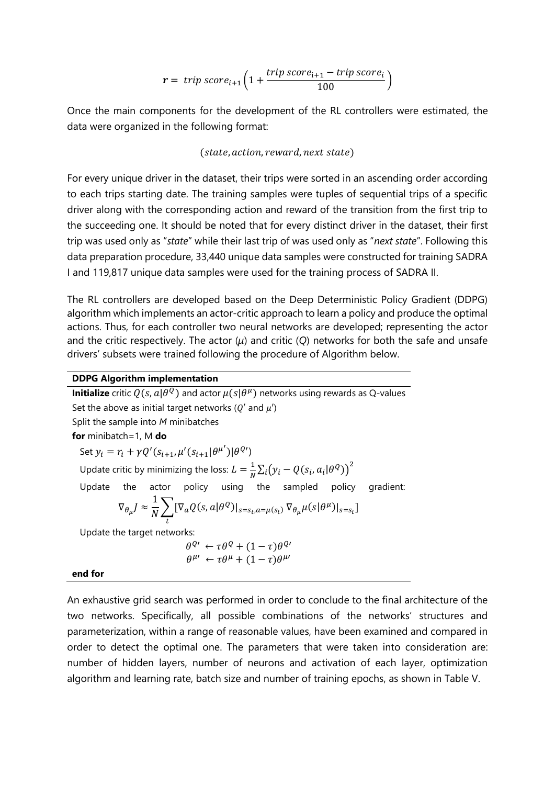$$
r = \text{trip score}_{i+1} \left( 1 + \frac{\text{trip score}_{i+1} - \text{trip score}_i}{100} \right)
$$

Once the main components for the development of the RL controllers were estimated, the data were organized in the following format:

#### $(s)$  (state, action, reward, next state)

For every unique driver in the dataset, their trips were sorted in an ascending order according to each trips starting date. The training samples were tuples of sequential trips of a specific driver along with the corresponding action and reward of the transition from the first trip to the succeeding one. It should be noted that for every distinct driver in the dataset, their first trip was used only as "*state*" while their last trip of was used only as "*next state*". Following this data preparation procedure, 33,440 unique data samples were constructed for training SADRA I and 119,817 unique data samples were used for the training process of SADRA II.

The RL controllers are developed based on the Deep Deterministic Policy Gradient (DDPG) algorithm which implements an actor-critic approach to learn a policy and produce the optimal actions. Thus, for each controller two neural networks are developed; representing the actor and the critic respectively. The actor (*μ*) and critic (*Q*) networks for both the safe and unsafe drivers' subsets were trained following the procedure of Algorithm below.

#### **DDPG Algorithm implementation**

**Initialize** critic  $Q(s, a | \theta^{\,Q})$  and actor  $\mu(s | \theta^{\,\mu})$  networks using rewards as Q-values Set the above as initial target networks ( $Q'$  and  $\mu'$ ) Split the sample into *Μ* minibatches **for** minibatch=1, Μ **do** Set  $y_i = r_i + \gamma Q'(s_{i+1}, \mu'(s_{i+1}|\theta^{\mu'})|\theta^{Q'})$ Update critic by minimizing the loss:  $L = \frac{1}{N}$  $\frac{1}{N}\sum_i(y_i - Q(s_i, a_i | \theta^Q))^2$ i Update the actor policy using the sampled policy gradient:  $\nabla_{\theta_\mu} J \approx$ 1  $\frac{1}{N}\sum [\nabla_a Q(s, a|\theta^Q)|_{s=s_t, a=\mu(s_t)} \nabla_{\theta_\mu} \mu(s|\theta^\mu)|_{s=s_t}]$ t Update the target networks:  $\theta^{Q\prime} \leftarrow \tau \theta^{Q} + (1-\tau)\theta^{Q\prime}$  $\theta^{\mu\nu} \leftarrow \tau \theta^{\mu} + (1-\tau) \theta^{\mu\nu}$ 

#### **end for**

An exhaustive grid search was performed in order to conclude to the final architecture of the two networks. Specifically, all possible combinations of the networks' structures and parameterization, within a range of reasonable values, have been examined and compared in order to detect the optimal one. The parameters that were taken into consideration are: number of hidden layers, number of neurons and activation of each layer, optimization algorithm and learning rate, batch size and number of training epochs, as shown in Table V.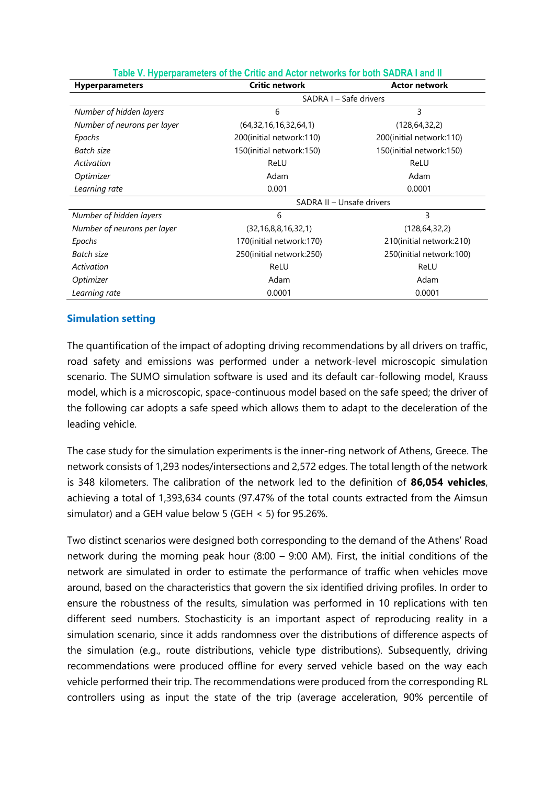| $\frac{1}{2}$ and $\frac{1}{2}$ is a strip position of the state of $\frac{1}{2}$<br><b>Hyperparameters</b> | <b>Critic network</b>       | <b>Actor network</b>      |  |  |  |  |
|-------------------------------------------------------------------------------------------------------------|-----------------------------|---------------------------|--|--|--|--|
|                                                                                                             | SADRA I – Safe drivers      |                           |  |  |  |  |
| Number of hidden layers                                                                                     | 6                           | 3                         |  |  |  |  |
| Number of neurons per layer                                                                                 | (64, 32, 16, 16, 32, 64, 1) | (128, 64, 32, 2)          |  |  |  |  |
| Epochs                                                                                                      | 200(initial network:110)    | 200(initial network:110)  |  |  |  |  |
| Batch size                                                                                                  | 150(initial network:150)    | 150(initial network:150)  |  |  |  |  |
| Activation                                                                                                  | ReLU                        | ReLU                      |  |  |  |  |
| Optimizer                                                                                                   | Adam                        | Adam                      |  |  |  |  |
| Learning rate                                                                                               | 0.001                       | 0.0001                    |  |  |  |  |
|                                                                                                             | SADRA II - Unsafe drivers   |                           |  |  |  |  |
| Number of hidden layers                                                                                     | 6                           | 3                         |  |  |  |  |
| Number of neurons per layer                                                                                 | (32, 16, 8, 8, 16, 32, 1)   | (128, 64, 32, 2)          |  |  |  |  |
| Epochs                                                                                                      | 170(initial network:170)    | 210(initial network: 210) |  |  |  |  |
| Batch size                                                                                                  | 250(initial network:250)    | 250(initial network:100)  |  |  |  |  |
| Activation                                                                                                  | ReLU                        | ReLU                      |  |  |  |  |
| Optimizer                                                                                                   | Adam                        | Adam                      |  |  |  |  |
| Learning rate                                                                                               | 0.0001                      | 0.0001                    |  |  |  |  |

#### **Table V. Hyperparameters of the Critic and Actor networks for both SADRA I and II**

#### **Simulation setting**

The quantification of the impact of adopting driving recommendations by all drivers on traffic, road safety and emissions was performed under a network-level microscopic simulation scenario. The SUMO simulation software is used and its default car-following model, Krauss model, which is a microscopic, space-continuous model based on the safe speed; the driver of the following car adopts a safe speed which allows them to adapt to the deceleration of the leading vehicle.

The case study for the simulation experiments is the inner-ring network of Athens, Greece. The network consists of 1,293 nodes/intersections and 2,572 edges. The total length of the network is 348 kilometers. The calibration of the network led to the definition of **86,054 vehicles**, achieving a total of 1,393,634 counts (97.47% of the total counts extracted from the Aimsun simulator) and a GEH value below 5 (GEH < 5) for 95.26%.

Two distinct scenarios were designed both corresponding to the demand of the Athens' Road network during the morning peak hour (8:00 – 9:00 AM). First, the initial conditions of the network are simulated in order to estimate the performance of traffic when vehicles move around, based on the characteristics that govern the six identified driving profiles. In order to ensure the robustness of the results, simulation was performed in 10 replications with ten different seed numbers. Stochasticity is an important aspect of reproducing reality in a simulation scenario, since it adds randomness over the distributions of difference aspects of the simulation (e.g., route distributions, vehicle type distributions). Subsequently, driving recommendations were produced offline for every served vehicle based on the way each vehicle performed their trip. The recommendations were produced from the corresponding RL controllers using as input the state of the trip (average acceleration, 90% percentile of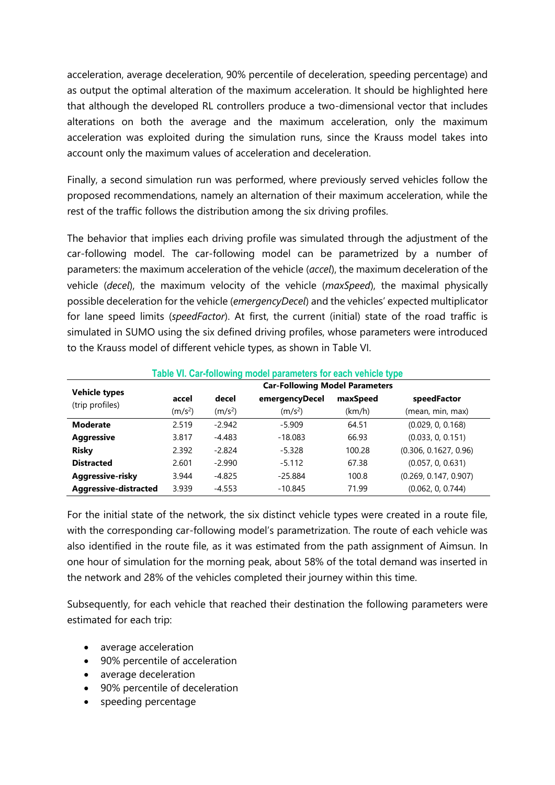acceleration, average deceleration, 90% percentile of deceleration, speeding percentage) and as output the optimal alteration of the maximum acceleration. It should be highlighted here that although the developed RL controllers produce a two-dimensional vector that includes alterations on both the average and the maximum acceleration, only the maximum acceleration was exploited during the simulation runs, since the Krauss model takes into account only the maximum values of acceleration and deceleration.

Finally, a second simulation run was performed, where previously served vehicles follow the proposed recommendations, namely an alternation of their maximum acceleration, while the rest of the traffic follows the distribution among the six driving profiles.

The behavior that implies each driving profile was simulated through the adjustment of the car-following model. The car-following model can be parametrized by a number of parameters: the maximum acceleration of the vehicle (*accel*), the maximum deceleration of the vehicle (*decel*), the maximum velocity of the vehicle (*maxSpeed*), the maximal physically possible deceleration for the vehicle (*emergencyDecel*) and the vehicles' expected multiplicator for lane speed limits (*speedFactor*). At first, the current (initial) state of the road traffic is simulated in SUMO using the six defined driving profiles, whose parameters were introduced to the Krauss model of different vehicle types, as shown in Table VI.

| Table VI. Car-following model parameters for each venicle type |                                       |                     |                     |          |                       |  |  |  |  |
|----------------------------------------------------------------|---------------------------------------|---------------------|---------------------|----------|-----------------------|--|--|--|--|
|                                                                | <b>Car-Following Model Parameters</b> |                     |                     |          |                       |  |  |  |  |
| <b>Vehicle types</b>                                           | accel                                 | decel               | emergencyDecel      | maxSpeed | speedFactor           |  |  |  |  |
| (trip profiles)                                                | (m/s <sup>2</sup> )                   | (m/s <sup>2</sup> ) | (m/s <sup>2</sup> ) | (km/h)   | (mean, min, max)      |  |  |  |  |
| <b>Moderate</b>                                                | 2.519                                 | $-2.942$            | $-5.909$            | 64.51    | (0.029, 0, 0.168)     |  |  |  |  |
| <b>Aggressive</b>                                              | 3.817                                 | $-4.483$            | $-18.083$           | 66.93    | (0.033, 0, 0.151)     |  |  |  |  |
| <b>Risky</b>                                                   | 2.392                                 | $-2.824$            | $-5.328$            | 100.28   | (0.306, 0.1627, 0.96) |  |  |  |  |
| <b>Distracted</b>                                              | 2.601                                 | $-2.990$            | $-5.112$            | 67.38    | (0.057, 0, 0.631)     |  |  |  |  |
| Aggressive-risky                                               | 3.944                                 | $-4.825$            | $-25.884$           | 100.8    | (0.269, 0.147, 0.907) |  |  |  |  |
| Aggressive-distracted                                          | 3.939                                 | $-4.553$            | $-10.845$           | 71.99    | (0.062, 0, 0.744)     |  |  |  |  |

#### **Table VI. Car-following model parameters for each vehicle type**

For the initial state of the network, the six distinct vehicle types were created in a route file, with the corresponding car-following model's parametrization. The route of each vehicle was also identified in the route file, as it was estimated from the path assignment of Aimsun. In one hour of simulation for the morning peak, about 58% of the total demand was inserted in the network and 28% of the vehicles completed their journey within this time.

Subsequently, for each vehicle that reached their destination the following parameters were estimated for each trip:

- average acceleration
- 90% percentile of acceleration
- average deceleration
- 90% percentile of deceleration
- speeding percentage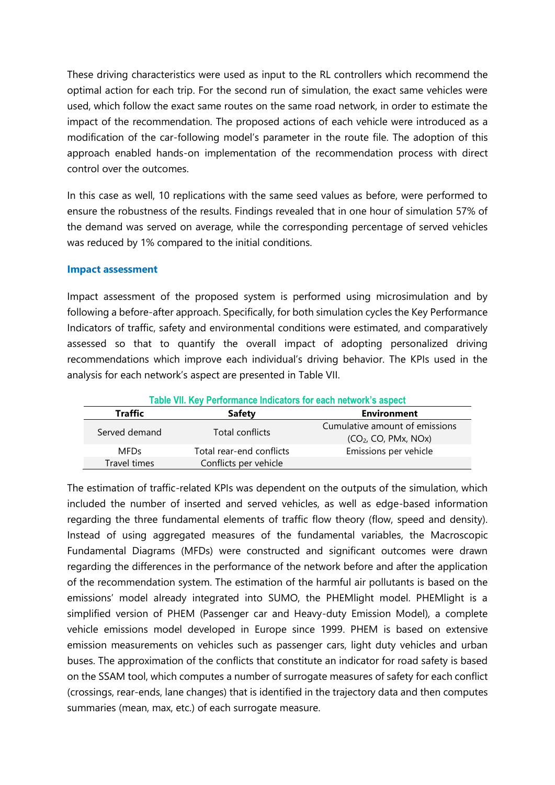These driving characteristics were used as input to the RL controllers which recommend the optimal action for each trip. For the second run of simulation, the exact same vehicles were used, which follow the exact same routes on the same road network, in order to estimate the impact of the recommendation. The proposed actions of each vehicle were introduced as a modification of the car-following model's parameter in the route file. The adoption of this approach enabled hands-on implementation of the recommendation process with direct control over the outcomes.

In this case as well, 10 replications with the same seed values as before, were performed to ensure the robustness of the results. Findings revealed that in one hour of simulation 57% of the demand was served on average, while the corresponding percentage of served vehicles was reduced by 1% compared to the initial conditions.

#### **Impact assessment**

Impact assessment of the proposed system is performed using microsimulation and by following a before-after approach. Specifically, for both simulation cycles the Key Performance Indicators of traffic, safety and environmental conditions were estimated, and comparatively assessed so that to quantify the overall impact of adopting personalized driving recommendations which improve each individual's driving behavior. The KPIs used in the analysis for each network's aspect are presented in Table VII.

| Table VII. Key Performance Indicators for each network's aspect |                          |                                                                    |  |  |  |  |  |
|-----------------------------------------------------------------|--------------------------|--------------------------------------------------------------------|--|--|--|--|--|
| <b>Traffic</b>                                                  | <b>Safety</b>            | <b>Environment</b>                                                 |  |  |  |  |  |
| Served demand                                                   | Total conflicts          | Cumulative amount of emissions<br>(CO <sub>2</sub> , CO, PMx, NOx) |  |  |  |  |  |
| <b>MFDs</b>                                                     | Total rear-end conflicts | Emissions per vehicle                                              |  |  |  |  |  |
| Travel times                                                    | Conflicts per vehicle    |                                                                    |  |  |  |  |  |

The estimation of traffic-related KPIs was dependent on the outputs of the simulation, which included the number of inserted and served vehicles, as well as edge-based information regarding the three fundamental elements of traffic flow theory (flow, speed and density). Instead of using aggregated measures of the fundamental variables, the Macroscopic Fundamental Diagrams (MFDs) were constructed and significant outcomes were drawn regarding the differences in the performance of the network before and after the application of the recommendation system. The estimation of the harmful air pollutants is based on the emissions' model already integrated into SUMO, the PHEMlight model. PHEMlight is a simplified version of PHEM (Passenger car and Heavy-duty Emission Model), a complete vehicle emissions model developed in Europe since 1999. PHEM is based on extensive emission measurements on vehicles such as passenger cars, light duty vehicles and urban buses. The approximation of the conflicts that constitute an indicator for road safety is based on the SSAM tool, which computes a number of surrogate measures of safety for each conflict (crossings, rear-ends, lane changes) that is identified in the trajectory data and then computes summaries (mean, max, etc.) of each surrogate measure.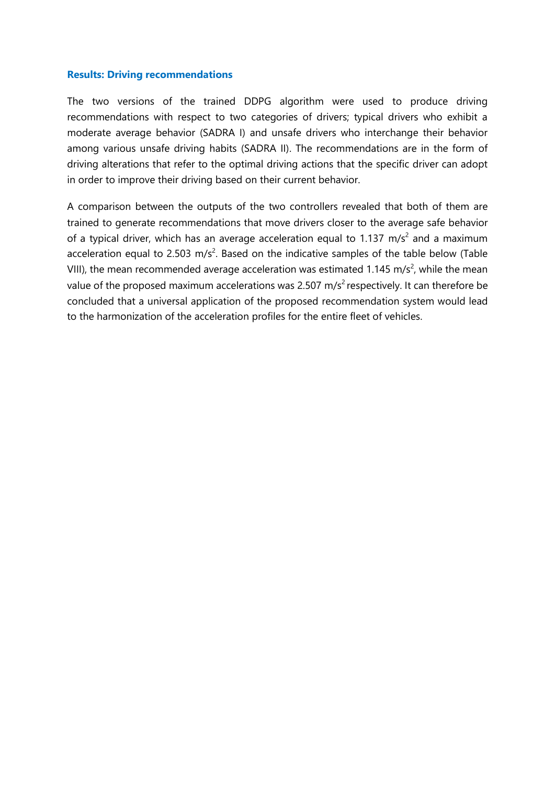#### **Results: Driving recommendations**

The two versions of the trained DDPG algorithm were used to produce driving recommendations with respect to two categories of drivers; typical drivers who exhibit a moderate average behavior (SADRA I) and unsafe drivers who interchange their behavior among various unsafe driving habits (SADRA II). The recommendations are in the form of driving alterations that refer to the optimal driving actions that the specific driver can adopt in order to improve their driving based on their current behavior.

A comparison between the outputs of the two controllers revealed that both of them are trained to generate recommendations that move drivers closer to the average safe behavior of a typical driver, which has an average acceleration equal to 1.137 m/s<sup>2</sup> and a maximum acceleration equal to 2.503 m/s<sup>2</sup>. Based on the indicative samples of the table below (Table VIII), the mean recommended average acceleration was estimated 1.145 m/s<sup>2</sup>, while the mean value of the proposed maximum accelerations was 2.507 m/s<sup>2</sup> respectively. It can therefore be concluded that a universal application of the proposed recommendation system would lead to the harmonization of the acceleration profiles for the entire fleet of vehicles.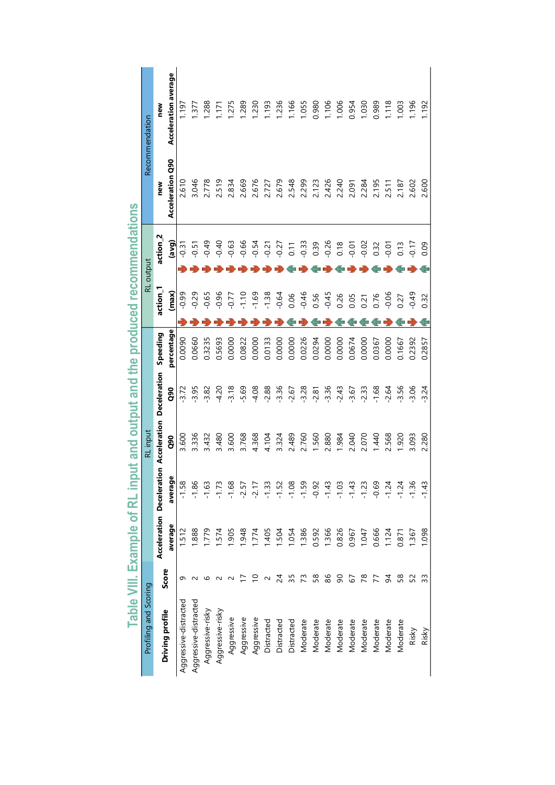|                                                                             | Recommendation        | new                             | Acceleration average | 197                       | .377                  | .288               | $\overline{171}$ | .275               | .289       | .230       | <b>193</b>      | 1.236          | 1.166               | 1.055       | 0.980    | 1.106         | 1.006          | 0.954         | 1.030         | 0.989          | 1.118         | 1.003         | 1.196              | 1.192       |
|-----------------------------------------------------------------------------|-----------------------|---------------------------------|----------------------|---------------------------|-----------------------|--------------------|------------------|--------------------|------------|------------|-----------------|----------------|---------------------|-------------|----------|---------------|----------------|---------------|---------------|----------------|---------------|---------------|--------------------|-------------|
|                                                                             |                       | new                             | Acceleration Q90     | 2.610                     | 3.046                 | 2.778              | 2.519            | 2.834              | 2.669      | 2.676      | 2.727           | 2.679          | 2.548               | 2.299       | 2.123    | 2.426         | 2.240          | 2.091         | 2.284         | 2.195          | 2.511         | 2.187         | 2.602              | 2.600       |
| Table VIII. Example of RL input and output and the produced recommendations | RL output             | action <sub>2</sub>             | (avg)                | $-0.31$                   | $-0.51$               | $-0.49$            | $-0.40$          | $-0.63$            | $-0.66$    | $-0.54$    | $-0.21$         | $-0.27$        | 0.11                | $-0.33$     | 0.39     | $-0.26$       | 0.18           | $-0.01$       | $-0.02$       | 0.32           | $-0.01$       | 0.13          | $-0.17$            | 0.09        |
|                                                                             |                       | action_1                        | (max)                | $-0.99$                   | $-0.29$               | $-0.65$            | 0.96             | $-0.77$            | $-1.10$    | $-1.69$    | $-1.38$         | $-0.64$        | 0.06                | $-0.46$     | 0.56     | $-0.45$       | 0.26           | 0.05          | 0.21          | 0.76           | $-0.06$       | 0.27          | $-0.49$            | 0.32        |
|                                                                             |                       | Speeding                        | percentage           | 0.0090                    | 0.0660                | 0.3235             | 0.5693           | 0.0000             | 0.0822     | 0.0000     | 0.0133          | 0.0000         | 0.0000              | 0.0226      | 0.0294   | 0.0000        | 0.0000         | 0.0674        | 0.0000        | 0.0367         | 0.0000        | 0.1667        | 0.2392             | 0.2857      |
|                                                                             |                       |                                 | Q90                  | 3.72                      | $-3.95$               | $-3.82$            | $-4.20$          | $-3.18$            | $-5.69$    | $-4.08$    | $-2.88$         | $-3.36$        | $-2.67$             | $-3.28$     | $-2.81$  | $-3.36$       | $-2.43$        | $-3.67$       | $-2.33$       | $-1.68$        | $-2.64$       | $-3.56$       | $-3.06$            | $-3.24$     |
|                                                                             | RL input              | ation Acceleration Deceleration | <b>aso</b>           | 3.600                     | 3.336                 | 3.432              | 3.480            | 3.600              | 3.768      | 4.368      | 4.104           | 3.324          | 2.489               | 2.760       | 1.560    | 2.880         | 1.984          | 2.040         | 2.070         | 1.440          | 2.568         | 1.920         | 3.093              | 2.280       |
|                                                                             |                       |                                 | average              | $\infty$<br>$\frac{1}{2}$ | ڡۣ<br>$\frac{8}{1}$   | S<br>$\frac{6}{1}$ | S<br>۷j-         | ∞<br>$\frac{6}{1}$ | $-2.5$     | -21        | <u>ن</u> ۔<br>ت | $\frac{15}{1}$ | ∞<br>$\frac{10}{1}$ | თ<br>$-1.5$ | -0.9     | $\frac{4}{1}$ | $\frac{10}{1}$ | $\frac{4}{1}$ | $\frac{1}{2}$ | ⊵<br><u>م.</u> | $\frac{1}{2}$ | $\frac{2}{1}$ | ဖ<br>$\frac{1}{2}$ | w<br>न<br>न |
|                                                                             |                       | Acceleration Deceler            | average              | 1.512                     | .888                  | .779               | 1.574            | 1.905              | 1.948      | 1.774      | 1.405           | 1.504          | 1.054               | 1.386       | 0.592    | 1.366         | 0.826          | 0.967         | 1.047         | 0.666          | 1.124         | 0.871         | 1.367              | 1.098       |
|                                                                             |                       | Score                           |                      | σ                         |                       |                    |                  |                    |            |            |                 | 24             | 35                  | 73          | 58       | 86            | 90             | 57            | 78            |                | 54            | 58            | 52                 | 33          |
|                                                                             | Profiling and Scoring |                                 | Driving profile      | Aggressive-distracted     | Aggressive-distracted | Aggressive-risky   | Aggressive-risky | Aggressive         | Aggressive | Aggressive | Distracted      | Distracted     | Distracted          | Moderate    | Moderate | Moderate      | Moderate       | Moderate      | Moderate      | Moderate       | Moderate      | Moderate      | Risky              | Risky       |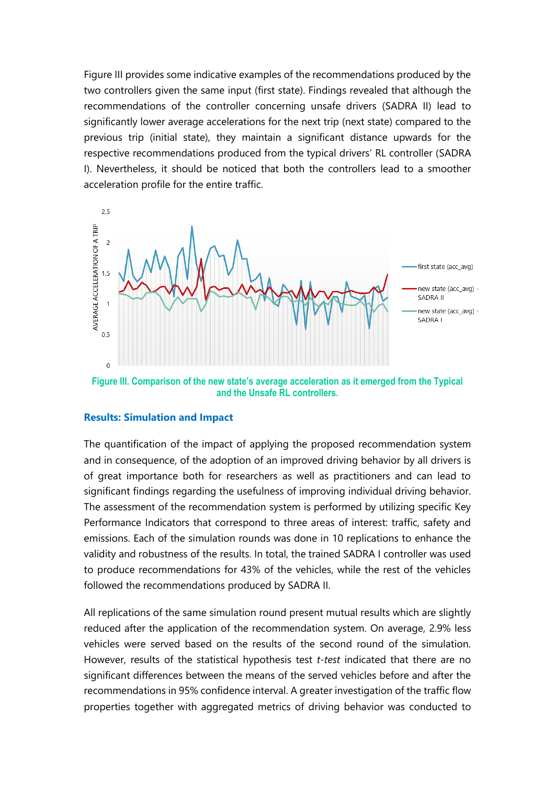Figure III provides some indicative examples of the recommendations produced by the two controllers given the same input (first state). Findings revealed that although the recommendations of the controller concerning unsafe drivers (SADRA II) lead to significantly lower average accelerations for the next trip (next state) compared to the previous trip (initial state), they maintain a significant distance upwards for the respective recommendations produced from the typical drivers' RL controller (SADRA I). Nevertheless, it should be noticed that both the controllers lead to a smoother acceleration profile for the entire traffic.



**Figure III. Comparison of the new state's average acceleration as it emerged from the Typical and the Unsafe RL controllers.**

#### **Results: Simulation and Impact**

The quantification of the impact of applying the proposed recommendation system and in consequence, of the adoption of an improved driving behavior by all drivers is of great importance both for researchers as well as practitioners and can lead to significant findings regarding the usefulness of improving individual driving behavior. The assessment of the recommendation system is performed by utilizing specific Key Performance Indicators that correspond to three areas of interest: traffic, safety and emissions. Each of the simulation rounds was done in 10 replications to enhance the validity and robustness of the results. In total, the trained SADRA I controller was used to produce recommendations for 43% of the vehicles, while the rest of the vehicles followed the recommendations produced by SADRA II.

All replications of the same simulation round present mutual results which are slightly reduced after the application of the recommendation system. On average, 2.9% less vehicles were served based on the results of the second round of the simulation. However, results of the statistical hypothesis test *t-test* indicated that there are no significant differences between the means of the served vehicles before and after the recommendations in 95% confidence interval. Α greater investigation of the traffic flow properties together with aggregated metrics of driving behavior was conducted to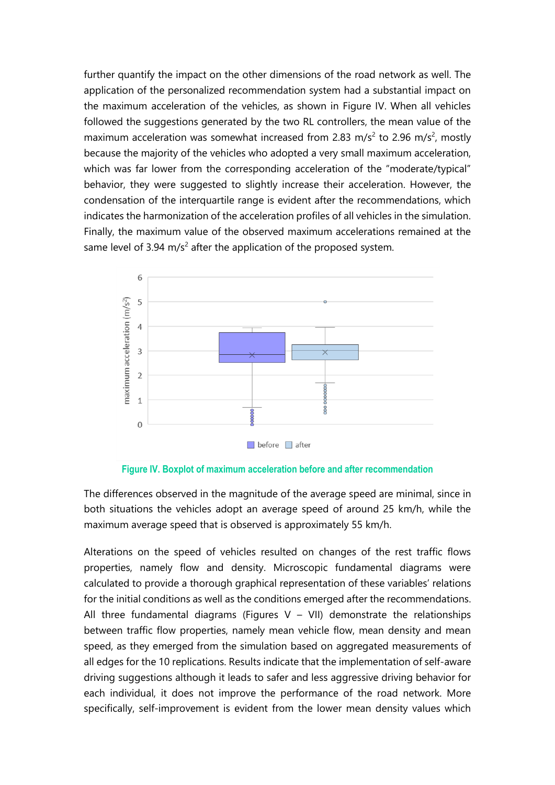further quantify the impact on the other dimensions of the road network as well. The application of the personalized recommendation system had a substantial impact on the maximum acceleration of the vehicles, as shown in Figure IV. When all vehicles followed the suggestions generated by the two RL controllers, the mean value of the maximum acceleration was somewhat increased from 2.83 m/s<sup>2</sup> to 2.96 m/s<sup>2</sup>, mostly because the majority of the vehicles who adopted a very small maximum acceleration, which was far lower from the corresponding acceleration of the "moderate/typical" behavior, they were suggested to slightly increase their acceleration. However, the condensation of the interquartile range is evident after the recommendations, which indicates the harmonization of the acceleration profiles of all vehicles in the simulation. Finally, the maximum value of the observed maximum accelerations remained at the same level of 3.94 m/s<sup>2</sup> after the application of the proposed system.



**Figure IV. Boxplot of maximum acceleration before and after recommendation**

The differences observed in the magnitude of the average speed are minimal, since in both situations the vehicles adopt an average speed of around 25 km/h, while the maximum average speed that is observed is approximately 55 km/h.

Alterations on the speed of vehicles resulted on changes of the rest traffic flows properties, namely flow and density. Microscopic fundamental diagrams were calculated to provide a thorough graphical representation of these variables' relations for the initial conditions as well as the conditions emerged after the recommendations. All three fundamental diagrams (Figures V – VII) demonstrate the relationships between traffic flow properties, namely mean vehicle flow, mean density and mean speed, as they emerged from the simulation based on aggregated measurements of all edges for the 10 replications. Results indicate that the implementation of self-aware driving suggestions although it leads to safer and less aggressive driving behavior for each individual, it does not improve the performance of the road network. More specifically, self-improvement is evident from the lower mean density values which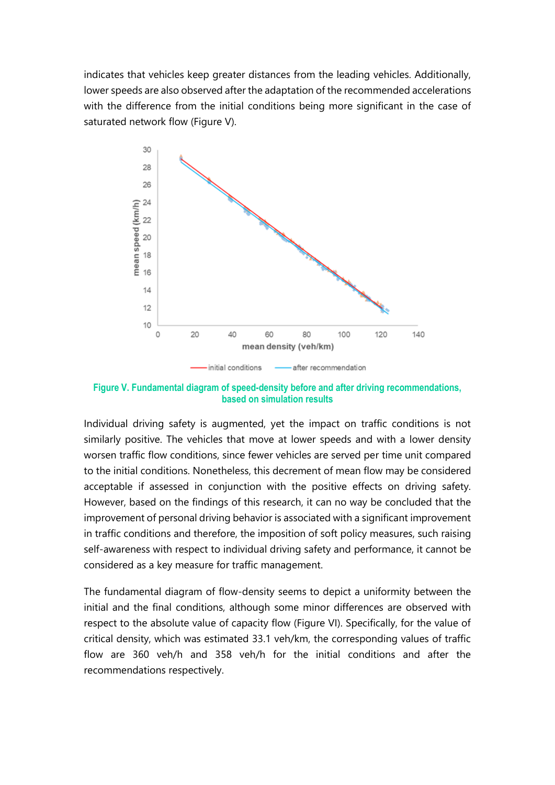indicates that vehicles keep greater distances from the leading vehicles. Additionally, lower speeds are also observed after the adaptation of the recommended accelerations with the difference from the initial conditions being more significant in the case of saturated network flow (Figure V).



**Figure V. Fundamental diagram of speed-density before and after driving recommendations, based on simulation results**

Individual driving safety is augmented, yet the impact on traffic conditions is not similarly positive. The vehicles that move at lower speeds and with a lower density worsen traffic flow conditions, since fewer vehicles are served per time unit compared to the initial conditions. Nonetheless, this decrement of mean flow may be considered acceptable if assessed in conjunction with the positive effects on driving safety. However, based on the findings of this research, it can no way be concluded that the improvement of personal driving behavior is associated with a significant improvement in traffic conditions and therefore, the imposition of soft policy measures, such raising self-awareness with respect to individual driving safety and performance, it cannot be considered as a key measure for traffic management.

The fundamental diagram of flow-density seems to depict a uniformity between the initial and the final conditions, although some minor differences are observed with respect to the absolute value of capacity flow (Figure VI). Specifically, for the value of critical density, which was estimated 33.1 veh/km, the corresponding values of traffic flow are 360 veh/h and 358 veh/h for the initial conditions and after the recommendations respectively.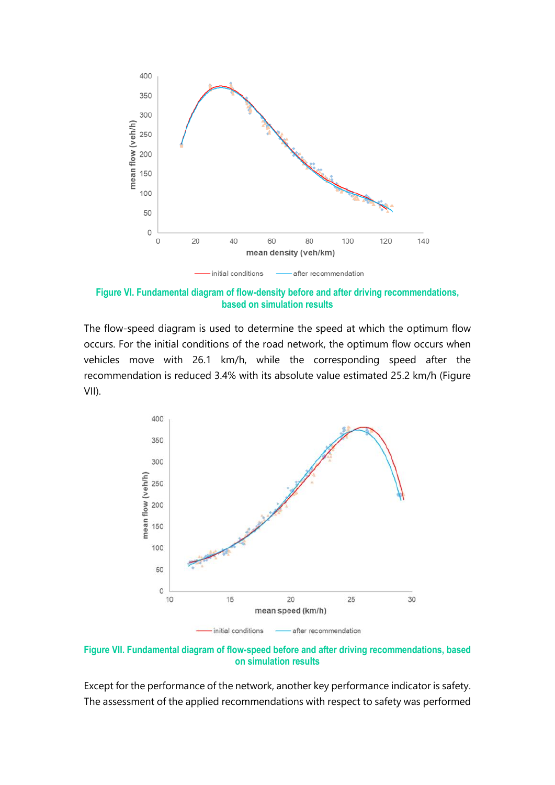

**Figure VI. Fundamental diagram of flow-density before and after driving recommendations, based on simulation results**

The flow-speed diagram is used to determine the speed at which the optimum flow occurs. For the initial conditions of the road network, the optimum flow occurs when vehicles move with 26.1 km/h, while the corresponding speed after the recommendation is reduced 3.4% with its absolute value estimated 25.2 km/h (Figure VII).



**Figure VII. Fundamental diagram of flow-speed before and after driving recommendations, based on simulation results**

Except for the performance of the network, another key performance indicator is safety. The assessment of the applied recommendations with respect to safety was performed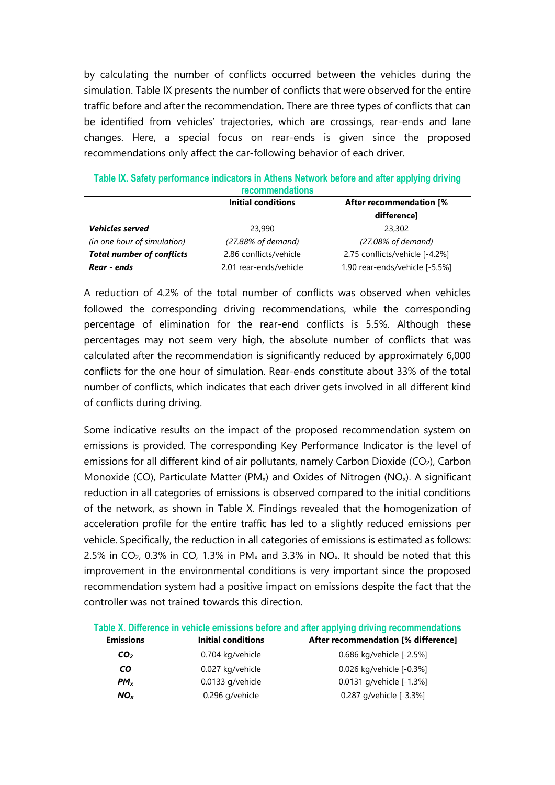by calculating the number of conflicts occurred between the vehicles during the simulation. Table IX presents the number of conflicts that were observed for the entire traffic before and after the recommendation. There are three types of conflicts that can be identified from vehicles' trajectories, which are crossings, rear-ends and lane changes. Here, a special focus on rear-ends is given since the proposed recommendations only affect the car-following behavior of each driver.

| <u>recommendations</u>           |                        |                                |  |  |  |  |  |
|----------------------------------|------------------------|--------------------------------|--|--|--|--|--|
|                                  | Initial conditions     | <b>After recommendation [%</b> |  |  |  |  |  |
|                                  |                        | difference]                    |  |  |  |  |  |
| <b>Vehicles served</b>           | 23,990                 | 23,302                         |  |  |  |  |  |
| (in one hour of simulation)      | (27.88% of demand)     | (27.08% of demand)             |  |  |  |  |  |
| <b>Total number of conflicts</b> | 2.86 conflicts/vehicle | 2.75 conflicts/vehicle [-4.2%] |  |  |  |  |  |
| Rear - ends                      | 2.01 rear-ends/vehicle | 1.90 rear-ends/vehicle [-5.5%] |  |  |  |  |  |

**Table IX. Safety performance indicators in Athens Network before and after applying driving recommendations**

A reduction of 4.2% of the total number of conflicts was observed when vehicles followed the corresponding driving recommendations, while the corresponding percentage of elimination for the rear-end conflicts is 5.5%. Although these percentages may not seem very high, the absolute number of conflicts that was calculated after the recommendation is significantly reduced by approximately 6,000 conflicts for the one hour of simulation. Rear-ends constitute about 33% of the total number of conflicts, which indicates that each driver gets involved in all different kind of conflicts during driving.

Some indicative results on the impact of the proposed recommendation system on emissions is provided. The corresponding Key Performance Indicator is the level of emissions for all different kind of air pollutants, namely Carbon Dioxide ( $CO<sub>2</sub>$ ), Carbon Monoxide (CO), Particulate Matter (PM<sub>x</sub>) and Oxides of Nitrogen (NO<sub>x</sub>). A significant reduction in all categories of emissions is observed compared to the initial conditions of the network, as shown in Table X. Findings revealed that the homogenization of acceleration profile for the entire traffic has led to a slightly reduced emissions per vehicle. Specifically, the reduction in all categories of emissions is estimated as follows: 2.5% in CO<sub>2</sub>, 0.3% in CO, 1.3% in PM<sub>x</sub> and 3.3% in NO<sub>x</sub>. It should be noted that this improvement in the environmental conditions is very important since the proposed recommendation system had a positive impact on emissions despite the fact that the controller was not trained towards this direction.

| Table X. Difference in vehicle emissions before and after applying driving recommendations |                    |                                     |  |  |  |  |  |  |
|--------------------------------------------------------------------------------------------|--------------------|-------------------------------------|--|--|--|--|--|--|
| <b>Emissions</b>                                                                           | Initial conditions | After recommendation [% difference] |  |  |  |  |  |  |
| CO <sub>2</sub>                                                                            | 0.704 kg/vehicle   | 0.686 kg/vehicle [-2.5%]            |  |  |  |  |  |  |
| <b>CO</b>                                                                                  | 0.027 kg/vehicle   | 0.026 kg/vehicle [-0.3%]            |  |  |  |  |  |  |
| $PM_x$                                                                                     | $0.0133$ g/vehicle | 0.0131 g/vehicle [-1.3%]            |  |  |  |  |  |  |

*NO<sup>x</sup>* 0.296 g/vehicle 0.287 g/vehicle [-3.3%]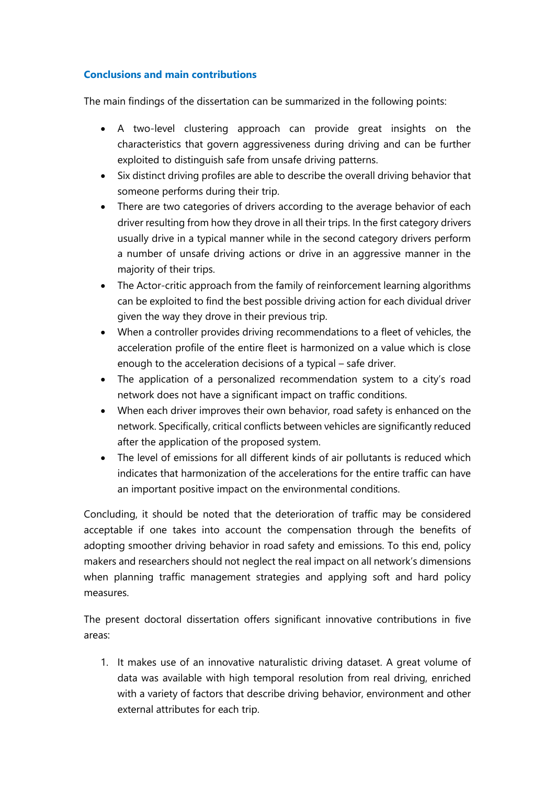## **Conclusions and main contributions**

The main findings of the dissertation can be summarized in the following points:

- A two-level clustering approach can provide great insights on the characteristics that govern aggressiveness during driving and can be further exploited to distinguish safe from unsafe driving patterns.
- Six distinct driving profiles are able to describe the overall driving behavior that someone performs during their trip.
- There are two categories of drivers according to the average behavior of each driver resulting from how they drove in all their trips. In the first category drivers usually drive in a typical manner while in the second category drivers perform a number of unsafe driving actions or drive in an aggressive manner in the majority of their trips.
- The Actor-critic approach from the family of reinforcement learning algorithms can be exploited to find the best possible driving action for each dividual driver given the way they drove in their previous trip.
- When a controller provides driving recommendations to a fleet of vehicles, the acceleration profile of the entire fleet is harmonized on a value which is close enough to the acceleration decisions of a typical – safe driver.
- The application of a personalized recommendation system to a city's road network does not have a significant impact on traffic conditions.
- When each driver improves their own behavior, road safety is enhanced on the network. Specifically, critical conflicts between vehicles are significantly reduced after the application of the proposed system.
- The level of emissions for all different kinds of air pollutants is reduced which indicates that harmonization of the accelerations for the entire traffic can have an important positive impact on the environmental conditions.

Concluding, it should be noted that the deterioration of traffic may be considered acceptable if one takes into account the compensation through the benefits of adopting smoother driving behavior in road safety and emissions. To this end, policy makers and researchers should not neglect the real impact on all network's dimensions when planning traffic management strategies and applying soft and hard policy measures.

The present doctoral dissertation offers significant innovative contributions in five areas:

1. It makes use of an innovative naturalistic driving dataset. A great volume of data was available with high temporal resolution from real driving, enriched with a variety of factors that describe driving behavior, environment and other external attributes for each trip.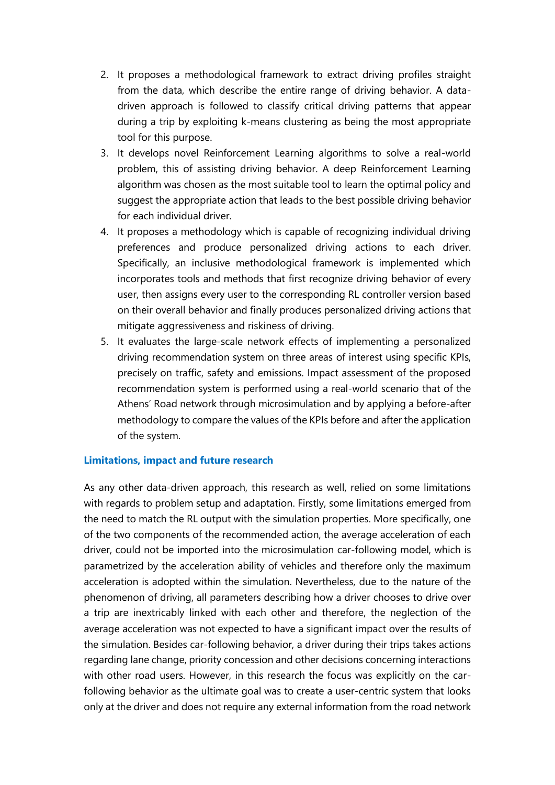- 2. It proposes a methodological framework to extract driving profiles straight from the data, which describe the entire range of driving behavior. A datadriven approach is followed to classify critical driving patterns that appear during a trip by exploiting k-means clustering as being the most appropriate tool for this purpose.
- 3. It develops novel Reinforcement Learning algorithms to solve a real-world problem, this of assisting driving behavior. A deep Reinforcement Learning algorithm was chosen as the most suitable tool to learn the optimal policy and suggest the appropriate action that leads to the best possible driving behavior for each individual driver.
- 4. It proposes a methodology which is capable of recognizing individual driving preferences and produce personalized driving actions to each driver. Specifically, an inclusive methodological framework is implemented which incorporates tools and methods that first recognize driving behavior of every user, then assigns every user to the corresponding RL controller version based on their overall behavior and finally produces personalized driving actions that mitigate aggressiveness and riskiness of driving.
- 5. It evaluates the large-scale network effects of implementing a personalized driving recommendation system on three areas of interest using specific KPIs, precisely on traffic, safety and emissions. Impact assessment of the proposed recommendation system is performed using a real-world scenario that of the Athens' Road network through microsimulation and by applying a before-after methodology to compare the values of the KPIs before and after the application of the system.

#### **Limitations, impact and future research**

As any other data-driven approach, this research as well, relied on some limitations with regards to problem setup and adaptation. Firstly, some limitations emerged from the need to match the RL output with the simulation properties. More specifically, one of the two components of the recommended action, the average acceleration of each driver, could not be imported into the microsimulation car-following model, which is parametrized by the acceleration ability of vehicles and therefore only the maximum acceleration is adopted within the simulation. Nevertheless, due to the nature of the phenomenon of driving, all parameters describing how a driver chooses to drive over a trip are inextricably linked with each other and therefore, the neglection of the average acceleration was not expected to have a significant impact over the results of the simulation. Besides car-following behavior, a driver during their trips takes actions regarding lane change, priority concession and other decisions concerning interactions with other road users. However, in this research the focus was explicitly on the carfollowing behavior as the ultimate goal was to create a user-centric system that looks only at the driver and does not require any external information from the road network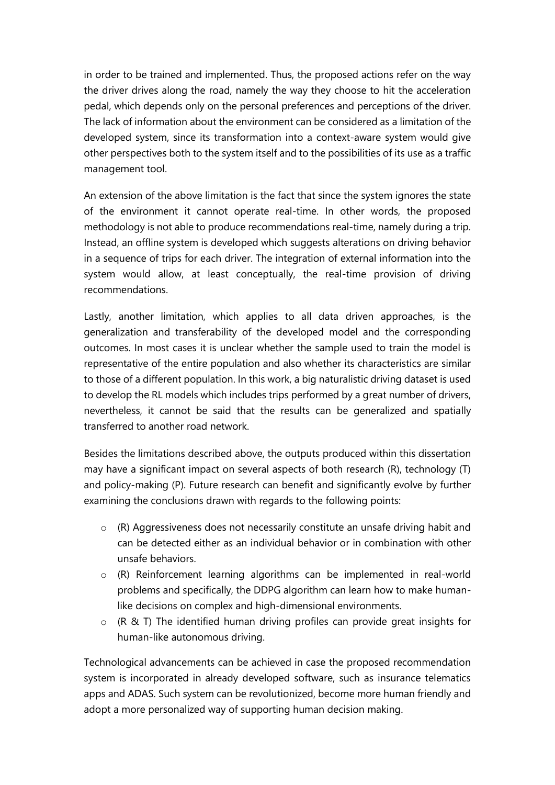in order to be trained and implemented. Thus, the proposed actions refer on the way the driver drives along the road, namely the way they choose to hit the acceleration pedal, which depends only on the personal preferences and perceptions of the driver. The lack of information about the environment can be considered as a limitation of the developed system, since its transformation into a context-aware system would give other perspectives both to the system itself and to the possibilities of its use as a traffic management tool.

An extension of the above limitation is the fact that since the system ignores the state of the environment it cannot operate real-time. In other words, the proposed methodology is not able to produce recommendations real-time, namely during a trip. Instead, an offline system is developed which suggests alterations on driving behavior in a sequence of trips for each driver. The integration of external information into the system would allow, at least conceptually, the real-time provision of driving recommendations.

Lastly, another limitation, which applies to all data driven approaches, is the generalization and transferability of the developed model and the corresponding outcomes. In most cases it is unclear whether the sample used to train the model is representative of the entire population and also whether its characteristics are similar to those of a different population. In this work, a big naturalistic driving dataset is used to develop the RL models which includes trips performed by a great number of drivers, nevertheless, it cannot be said that the results can be generalized and spatially transferred to another road network.

Besides the limitations described above, the outputs produced within this dissertation may have a significant impact on several aspects of both research (R), technology (T) and policy-making (P). Future research can benefit and significantly evolve by further examining the conclusions drawn with regards to the following points:

- $\circ$  (R) Aggressiveness does not necessarily constitute an unsafe driving habit and can be detected either as an individual behavior or in combination with other unsafe behaviors.
- o (R) Reinforcement learning algorithms can be implemented in real-world problems and specifically, the DDPG algorithm can learn how to make humanlike decisions on complex and high-dimensional environments.
- o (R & T) The identified human driving profiles can provide great insights for human-like autonomous driving.

Technological advancements can be achieved in case the proposed recommendation system is incorporated in already developed software, such as insurance telematics apps and ADAS. Such system can be revolutionized, become more human friendly and adopt a more personalized way of supporting human decision making.